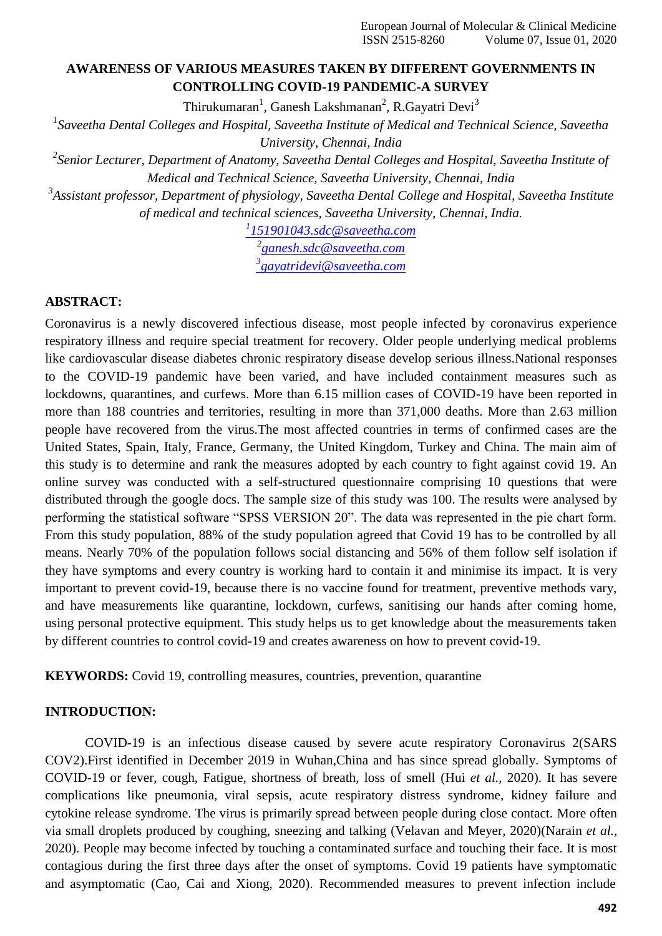# **AWARENESS OF VARIOUS MEASURES TAKEN BY DIFFERENT GOVERNMENTS IN CONTROLLING COVID-19 PANDEMIC-A SURVEY**

Thirukumaran<sup>1</sup>, Ganesh Lakshmanan<sup>2</sup>, R.Gayatri Devi<sup>3</sup>

*1 Saveetha Dental Colleges and Hospital, Saveetha Institute of Medical and Technical Science, Saveetha University, Chennai, India*

*2 Senior Lecturer, Department of Anatomy, Saveetha Dental Colleges and Hospital, Saveetha Institute of Medical and Technical Science, Saveetha University, Chennai, India*

*3 Assistant professor, Department of physiology, Saveetha Dental College and Hospital, Saveetha Institute of medical and technical sciences, Saveetha University, Chennai, India.*

*1 [151901043.sdc@saveetha.com](mailto:1151901043.sdc@saveetha.com)*

*2 [ganesh.sdc@saveetha.com](mailto:ganesh.sdc@saveetha.com) 3 [gayatridevi@saveetha.com](mailto:3gayatridevi@saveetha.com)*

## **ABSTRACT:**

Coronavirus is a newly discovered infectious disease, most people infected by coronavirus experience respiratory illness and require special treatment for recovery. Older people underlying medical problems like cardiovascular disease diabetes chronic respiratory disease develop serious illness.National responses to the COVID-19 pandemic have been varied, and have included containment measures such as lockdowns, quarantines, and curfews. More than 6.15 million cases of COVID-19 have been reported in more than 188 countries and territories, resulting in more than 371,000 deaths. More than 2.63 million people have recovered from the virus.The most affected countries in terms of confirmed cases are the United States, Spain, Italy, France, Germany, the United Kingdom, Turkey and China. The main aim of this study is to determine and rank the measures adopted by each country to fight against covid 19. An online survey was conducted with a self-structured questionnaire comprising 10 questions that were distributed through the google docs. The sample size of this study was 100. The results were analysed by performing the statistical software "SPSS VERSION 20". The data was represented in the pie chart form. From this study population, 88% of the study population agreed that Covid 19 has to be controlled by all means. Nearly 70% of the population follows social distancing and 56% of them follow self isolation if they have symptoms and every country is working hard to contain it and minimise its impact. It is very important to prevent covid-19, because there is no vaccine found for treatment, preventive methods vary, and have measurements like quarantine, lockdown, curfews, sanitising our hands after coming home, using personal protective equipment. This study helps us to get knowledge about the measurements taken by different countries to control covid-19 and creates awareness on how to prevent covid-19.

**KEYWORDS:** Covid 19, controlling measures, countries, prevention, quarantine

### **INTRODUCTION:**

COVID-19 is an infectious disease caused by severe acute respiratory Coronavirus 2(SARS COV2).First identified in December 2019 in Wuhan,China and has since spread globally. Symptoms of COVID-19 or fever, cough, Fatigue, shortness of breath, loss of smell (Hui *et al.*[, 2020\).](https://paperpile.com/c/TjCIG8/bMIB) It has severe complications like pneumonia, viral sepsis, acute respiratory distress syndrome, kidney failure and cytokine release syndrome. The virus is primarily spread between people during close contact. More often via small droplets produced by coughing, sneezing and talking [\(Velavan and Meyer, 2020\)\(Narain](https://paperpile.com/c/TjCIG8/kL0e) *et al.*, [2020\). P](https://paperpile.com/c/TjCIG8/UoUd)eople may become infected by touching a contaminated surface and touching their face. It is most contagious during the first three days after the onset of symptoms. Covid 19 patients have symptomatic and asymptomatic (Cao, Cai and [Xiong,](https://paperpile.com/c/TjCIG8/509u) 2020). Recommended measures to prevent infection include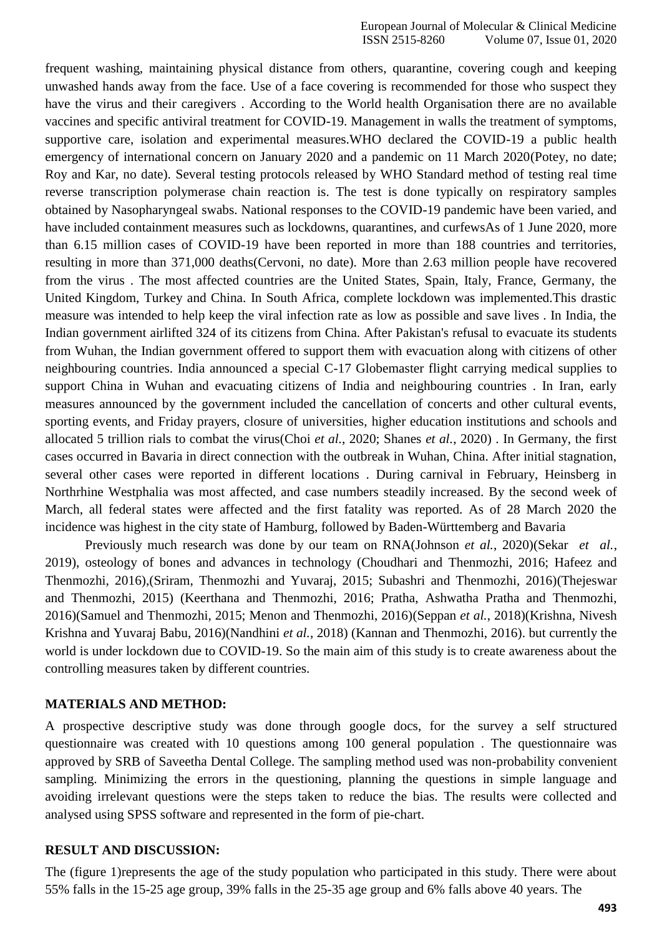frequent washing, maintaining physical distance from others, quarantine, covering cough and keeping unwashed hands away from the face. Use of a face covering is recommended for those who suspect they have the virus and their caregivers . According to the World health Organisation there are no available vaccines and specific antiviral treatment for COVID-19. Management in walls the treatment of symptoms, supportive care, isolation and experimental measures.WHO declared the COVID-19 a public health emergency of international concern on January 2020 and a pandemic on 11 March 202[0\(Potey, no date;](https://paperpile.com/c/TjCIG8/rHTJ%2Bdsyc) [Roy and Kar, no date\). S](https://paperpile.com/c/TjCIG8/rHTJ%2Bdsyc)everal testing protocols released by WHO Standard method of testing real time reverse transcription polymerase chain reaction is. The test is done typically on respiratory samples obtained by Nasopharyngeal swabs. National responses to the COVID-19 pandemic have been varied, and have included containment measures such as lockdowns, quarantines, and curfewsAs of 1 June 2020, more than 6.15 million cases of COVID-19 have been reported in more than 188 countries and territories, resulting in more than 371,000 death[s\(Cervoni, no date\). M](https://paperpile.com/c/TjCIG8/yBzb)ore than 2.63 million people have recovered from the virus . The most affected countries are the United States, Spain, Italy, France, Germany, the United Kingdom, Turkey and China. In South Africa, complete lockdown was implemented.This drastic measure was intended to help keep the viral infection rate as low as possible and save lives . In India, the Indian government airlifted 324 of its citizens from China. After Pakistan's refusal to evacuate its students from Wuhan, the Indian government offered to support them with evacuation along with citizens of other neighbouring countries. India announced a special C-17 Globemaster flight carrying medical supplies to support China in Wuhan and evacuating citizens of India and neighbouring countries . In Iran, early measures announced by the government included the cancellation of concerts and other cultural events, sporting events, and Friday prayers, closure of universities, higher education institutions and schools and allocated 5 trillion rials to combat the virus(Choi *et al.*[, 2020; Shanes](https://paperpile.com/c/TjCIG8/Uz16%2B8uB4) *et al.*, 2020) . In Germany, the first cases occurred in Bavaria in direct connection with the outbreak in Wuhan, China. After initial stagnation, several other cases were reported in different locations . During carnival in February, Heinsberg in Northrhine Westphalia was most affected, and case numbers steadily increased. By the second week of March, all federal states were affected and the first fatality was reported. As of 28 March 2020 the incidence was highest in the city state of Hamburg, followed by Baden-Württemberg and Bavaria

Previously much research was done by our team on RN[A\(Johnson](https://paperpile.com/c/TjCIG8/O23V) *et al.*, 2020[\)\(Sekar](https://paperpile.com/c/TjCIG8/O23V) *et al.*, [2019\),](https://paperpile.com/c/TjCIG8/Gc4k) osteology of bones and advances in technology [\(Choudhari and Thenmozhi, 2016; Hafeez and](https://paperpile.com/c/TjCIG8/9FZm%2BAN23) [Thenmozhi, 2016\),\(Sriram, Thenmozhi and Yuvaraj, 2015; Subashri and Thenmozhi, 2016\)](https://paperpile.com/c/TjCIG8/9FZm%2BAN23)[\(Thejeswar](https://paperpile.com/c/TjCIG8/7XCH%2BpX11) [and Thenmozhi, 2015\)](https://paperpile.com/c/TjCIG8/6pAN) [\(Keerthana and Thenmozhi, 2016; Pratha, Ashwatha Pratha and Thenmozhi,](https://paperpile.com/c/TjCIG8/kyHA%2BXGqP) [2016\)\(Samuel and Thenmozhi, 2015; Menon and Thenmozhi, 2016\)\(](https://paperpile.com/c/TjCIG8/kyHA%2BXGqP)Seppan *et al.*, 2018)(Krishna, Nivesh Krishna and Yuvaraj Babu, 2016)(Nandhini *et al.*, 2018) [\(Kannan and Thenmozhi, 2016\).](https://paperpile.com/c/TjCIG8/CqkU) but currently the world is under lockdown due to COVID-19. So the main aim of this study is to create awareness about the controlling measures taken by different countries.

### **MATERIALS AND METHOD:**

A prospective descriptive study was done through google docs, for the survey a self structured questionnaire was created with 10 questions among 100 general population . The questionnaire was approved by SRB of Saveetha Dental College. The sampling method used was non-probability convenient sampling. Minimizing the errors in the questioning, planning the questions in simple language and avoiding irrelevant questions were the steps taken to reduce the bias. The results were collected and analysed using SPSS software and represented in the form of pie-chart.

#### **RESULT AND DISCUSSION:**

The (figure 1)represents the age of the study population who participated in this study. There were about 55% falls in the 15-25 age group, 39% falls in the 25-35 age group and 6% falls above 40 years. The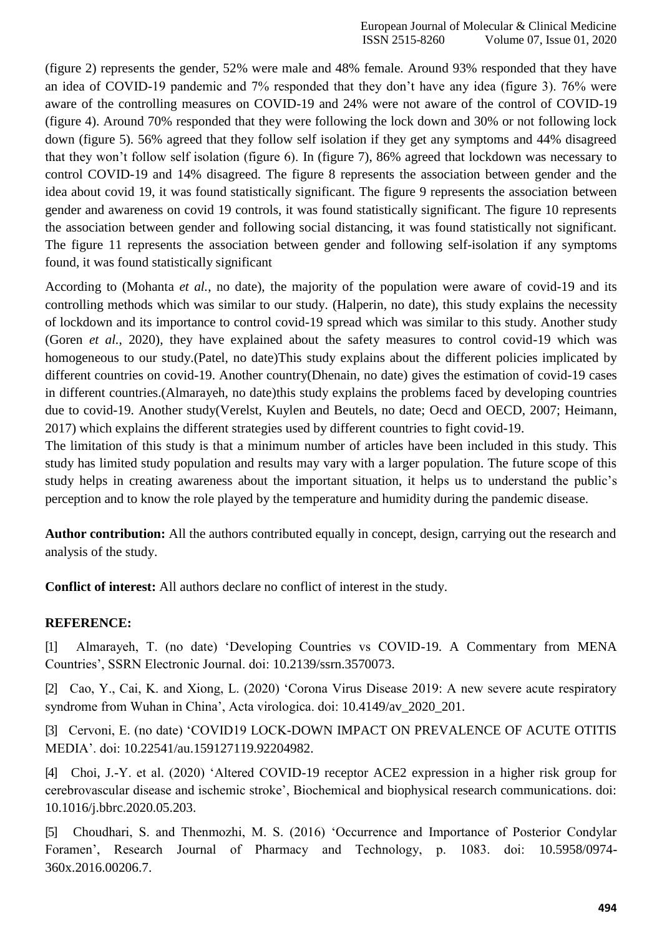(figure 2) represents the gender, 52% were male and 48% female. Around 93% responded that they have an idea of COVID-19 pandemic and 7% responded that they don"t have any idea (figure 3). 76% were aware of the controlling measures on COVID-19 and 24% were not aware of the control of COVID-19 (figure 4). Around 70% responded that they were following the lock down and 30% or not following lock down (figure 5). 56% agreed that they follow self isolation if they get any symptoms and 44% disagreed that they won"t follow self isolation (figure 6). In (figure 7), 86% agreed that lockdown was necessary to control COVID-19 and 14% disagreed. The figure 8 represents the association between gender and the idea about covid 19, it was found statistically significant. The figure 9 represents the association between gender and awareness on covid 19 controls, it was found statistically significant. The figure 10 represents the association between gender and following social distancing, it was found statistically not significant. The figure 11 represents the association between gender and following self-isolation if any symptoms found, it was found statistically significant

According to [\(Mohanta](https://paperpile.com/c/TjCIG8/99Dg) *et al.*, no date), the majority of the population were aware of covid-19 and its controlling methods which was similar to our study. [\(Halperin, no date\), t](https://paperpile.com/c/TjCIG8/A2xa)his study explains the necessity of lockdown and its importance to control covid-19 spread which was similar to this study. Another study (Goren *et al.*[, 2020\),](https://paperpile.com/c/TjCIG8/6Qoj) they have explained about the safety measures to control covid-19 which was homogeneous to our study[.\(Patel, no date\)T](https://paperpile.com/c/TjCIG8/Dwl7)his study explains about the different policies implicated by different countries on covid-19. Another countr[y\(Dhenain, no date\) g](https://paperpile.com/c/TjCIG8/BkT1)ives the estimation of covid-19 cases in different countries. (Almarayeh, no date)this study explains the problems faced by developing countries due to covid-19. Another stud[y\(Verelst, Kuylen and Beutels, no date; Oecd and OECD, 2007; Heimann,](https://paperpile.com/c/TjCIG8/ptrz%2BbX4R%2BUWJe) [2017\) w](https://paperpile.com/c/TjCIG8/ptrz%2BbX4R%2BUWJe)hich explains the different strategies used by different countries to fight covid-19.

The limitation of this study is that a minimum number of articles have been included in this study. This study has limited study population and results may vary with a larger population. The future scope of this study helps in creating awareness about the important situation, it helps us to understand the public"s perception and to know the role played by the temperature and humidity during the pandemic disease.

**Author contribution:** All the authors contributed equally in concept, design, carrying out the research and analysis of the study.

**Conflict of interest:** All authors declare no conflict of interest in the study.

## **REFERENCE:**

[1] [Almarayeh, T. \(no date\) "Developing Countries vs COVID-19. A Commentary from MENA](http://paperpile.com/b/TjCIG8/P99c) [Countries", SSRN Electronic Journal. doi: 10.2139/ssrn.3570073](http://paperpile.com/b/TjCIG8/P99c)[.](http://dx.doi.org/10.2139/ssrn.3570073)

[2] [Cao, Y., Cai, K. and Xiong, L. \(2020\) "Corona Virus Disease 2019: A new severe acute respiratory](http://paperpile.com/b/TjCIG8/509u) [syndrome from Wuhan in China", Acta virologica. doi:](http://paperpile.com/b/TjCIG8/509u) [10.4149/av\\_2020\\_201](http://paperpile.com/b/TjCIG8/509u)[.](http://dx.doi.org/10.4149/av_2020_201)

[3] [Cervoni, E. \(no date\) "COVID19 LOCK-DOWN IMPACT ON PREVALENCE OF ACUTE OTITIS](http://paperpile.com/b/TjCIG8/yBzb) [MEDIA". doi:](http://paperpile.com/b/TjCIG8/yBzb) [10.22541/au.159127119.92204982](http://paperpile.com/b/TjCIG8/yBzb)[.](http://dx.doi.org/10.22541/au.159127119.92204982)

[4] [Choi, J.-Y. et al. \(2020\) "Altered COVID-19 receptor ACE2 expression in a higher risk group for](http://paperpile.com/b/TjCIG8/Uz16) [cerebrovascular disease and ischemic stroke", Biochemical and biophysical research communications. doi:](http://paperpile.com/b/TjCIG8/Uz16) [10.1016/j.bbrc.2020.05.203.](http://dx.doi.org/10.1016/j.bbrc.2020.05.203)

[5] [Choudhari, S. and Thenmozhi, M. S. \(2016\) "Occurrence and Importance of Posterior Condylar](http://paperpile.com/b/TjCIG8/AN23) [Foramen", Research Journal of Pharmacy and Technology, p. 1083. doi:](http://paperpile.com/b/TjCIG8/AN23) [10.5958/0974-](http://dx.doi.org/10.5958/0974-360x.2016.00206.7) [360x.2016.00206.7.](http://dx.doi.org/10.5958/0974-360x.2016.00206.7)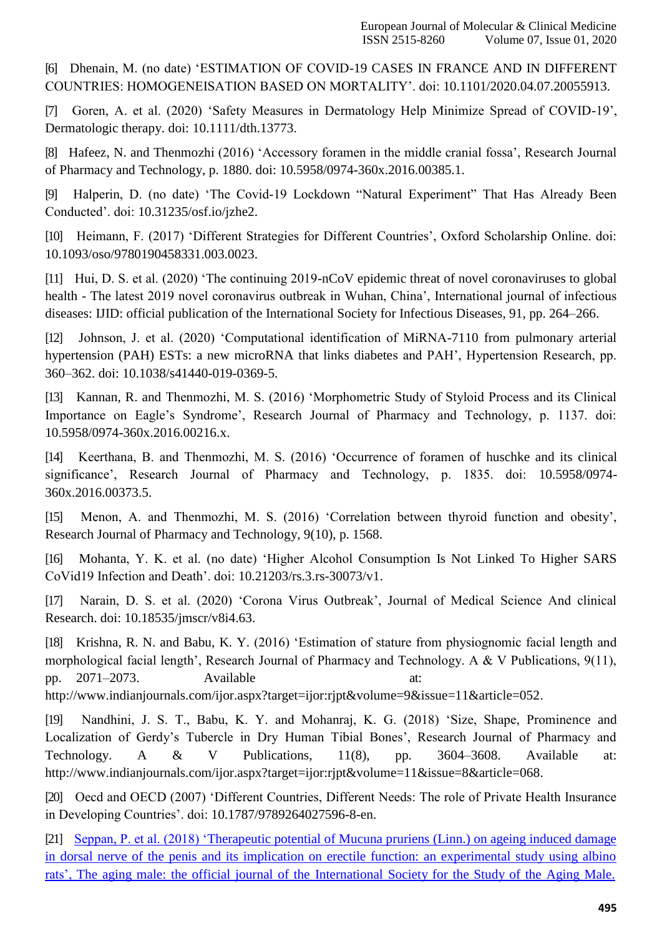[6] [Dhenain, M. \(no date\) "ESTIMATION OF COVID-19 CASES IN FRANCE AND IN DIFFERENT](http://paperpile.com/b/TjCIG8/BkT1) [COUNTRIES: HOMOGENEISATION BASED ON MORTALITY". doi:](http://paperpile.com/b/TjCIG8/BkT1) [10.1101/2020.04.07.20055913](http://paperpile.com/b/TjCIG8/BkT1)[.](http://dx.doi.org/10.1101/2020.04.07.20055913)

[7] [Goren, A. et al. \(2020\) "Safety Measures in Dermatology Help Minimize Spread of COVID-19",](http://paperpile.com/b/TjCIG8/6Qoj) [Dermatologic therapy. doi:](http://paperpile.com/b/TjCIG8/6Qoj) [10.1111/dth.13773](http://paperpile.com/b/TjCIG8/6Qoj)[.](http://dx.doi.org/10.1111/dth.13773)

[8] Hafeez, N. and Thenmozhi (2016) 'Accessory foramen in the middle cranial fossa', Research Journal [of Pharmacy and Technology, p. 1880. doi:](http://paperpile.com/b/TjCIG8/9FZm) [10.5958/0974-360x.2016.00385.1](http://paperpile.com/b/TjCIG8/9FZm)[.](http://dx.doi.org/10.5958/0974-360x.2016.00385.1)

[9] [Halperin, D. \(no date\) "The Covid-19 Lockdown "Natural Experiment" That Has Already Been](http://paperpile.com/b/TjCIG8/A2xa) [Conducted". doi:](http://paperpile.com/b/TjCIG8/A2xa) [10.31235/osf.io/jzhe2](http://paperpile.com/b/TjCIG8/A2xa)[.](http://dx.doi.org/10.31235/osf.io/jzhe2)

[10] [Heimann, F. \(2017\) "Different Strategies for Different Countries", Oxford Scholarship Online. doi:](http://paperpile.com/b/TjCIG8/UWJe) [10.1093/oso/9780190458331.003.0023.](http://dx.doi.org/10.1093/oso/9780190458331.003.0023)

[11] Hui, D. S. et al. (2020) 'The continuing 2019-nCoV epidemic threat of novel coronaviruses to global health - [The latest 2019 novel coronavirus outbreak in Wuhan, China", International journal of infectious](http://paperpile.com/b/TjCIG8/bMIB) [diseases: IJID: official publication of the International Society for Infectious Diseases, 91, pp.](http://paperpile.com/b/TjCIG8/bMIB) 264–266.

[12] [Johnson, J. et al. \(2020\) "Computational identification of MiRNA-7110 from pulmonary arterial](http://paperpile.com/b/TjCIG8/O23V) hypertension (PAH) ESTs: a new microRNA that links diabetes and PAH', Hypertension Research, pp. [360–362. doi:](http://paperpile.com/b/TjCIG8/O23V) [10.1038/s41440-019-0369-5.](http://paperpile.com/b/TjCIG8/O23V)

[13] Kannan, R. and [Thenmozhi, M. S. \(2016\) "Morphometric Study of Styloid Process and its Clinical](http://paperpile.com/b/TjCIG8/CqkU) Importance on Eagle's Syndrome', Research Journal of Pharmacy and Technology, p. 1137. doi: [10.5958/0974-360x.2016.00216.x.](http://dx.doi.org/10.5958/0974-360x.2016.00216.x)

[14] Keerthana, B. and Thenmozhi, M. S. (2016) 'Occurrence of foramen of huschke and its clinical significance', Research Journal of Pharmacy and Technology, p. 1835. doi: [10.5958/0974-](http://dx.doi.org/10.5958/0974-360x.2016.00373.5) [360x.2016.00373.5.](http://dx.doi.org/10.5958/0974-360x.2016.00373.5)

[15] Menon, A. and Thenmozhi, M. S. (2016) 'Correlation between thyroid function and obesity', [Research Journal of Pharmacy and Technology, 9\(10\), p.](http://paperpile.com/b/TjCIG8/yW4N) 1568.

[16] [Mohanta, Y. K. et al. \(no date\) "Higher Alcohol Consumption Is Not Linked To Higher SARS](http://paperpile.com/b/TjCIG8/99Dg) [CoVid19 Infection and Death". doi:](http://paperpile.com/b/TjCIG8/99Dg) [10.21203/rs.3.rs-30073/v1](http://paperpile.com/b/TjCIG8/99Dg)[.](http://dx.doi.org/10.21203/rs.3.rs-30073/v1)

[17] Narain, D. S. et al. (2020) 'Corona Virus Outbreak', Journal of Medical Science And clinical [Research. doi:](http://paperpile.com/b/TjCIG8/UoUd) [10.18535/jmscr/v8i4.63](http://paperpile.com/b/TjCIG8/UoUd)[.](http://dx.doi.org/10.18535/jmscr/v8i4.63)

[18] Krishna, R. N. and Babu, K. Y. [\(2016\) "Estimation of stature from physiognomic facial length and](http://paperpile.com/b/Xvlbgd/rELF) morphological facial length', Research Journal of Pharmacy and Technology. A & V Publications, 9(11), pp. [2071–2073.](http://paperpile.com/b/Xvlbgd/rELF) Available at[:](http://paperpile.com/b/Xvlbgd/rELF)

[http://www.indianjournals.com/ijor.aspx?target=ijor:rjpt&volume=9&issue=11&article=052.](http://www.indianjournals.com/ijor.aspx?target=ijor%3Arjpt&volume=9&issue=11&article=052)

[19] [Nandhini, J. S. T., Babu, K. Y. and Mohanraj, K. G. \(2018\) "Size, Shape, Prominence and](http://paperpile.com/b/Xvlbgd/rEDx) Localization of Gerdy's Tubercle in Dry Human Tibial Bones', Research Journal of Pharmacy and [Technology. A & V Publications, 11\(8\), pp. 3604–3608. Available at:](http://paperpile.com/b/Xvlbgd/rEDx) [http://www.indianjournals.com/ijor.aspx?target=ijor:rjpt&volume=11&issue=8&article=068.](http://www.indianjournals.com/ijor.aspx?target=ijor%3Arjpt&volume=11&issue=8&article=068)

[20] [Oecd and OECD \(2007\) "Different Countries, Different Needs: The role of Private Health Insurance](http://paperpile.com/b/TjCIG8/bX4R) in Developing Countries'. doi: [10.1787/9789264027596-8-en](http://paperpile.com/b/TjCIG8/bX4R)[.](http://dx.doi.org/10.1787/9789264027596-8-en)

[21] Seppan, P. et al. (2018) "Therapeutic potential of Mucuna pruriens (Linn.) on ageing induced damage in dorsal nerve of the penis and its implication on erectile function: an experimental study using albino rats", The aging male: the official journal of the International Society for the Study of the Aging Male.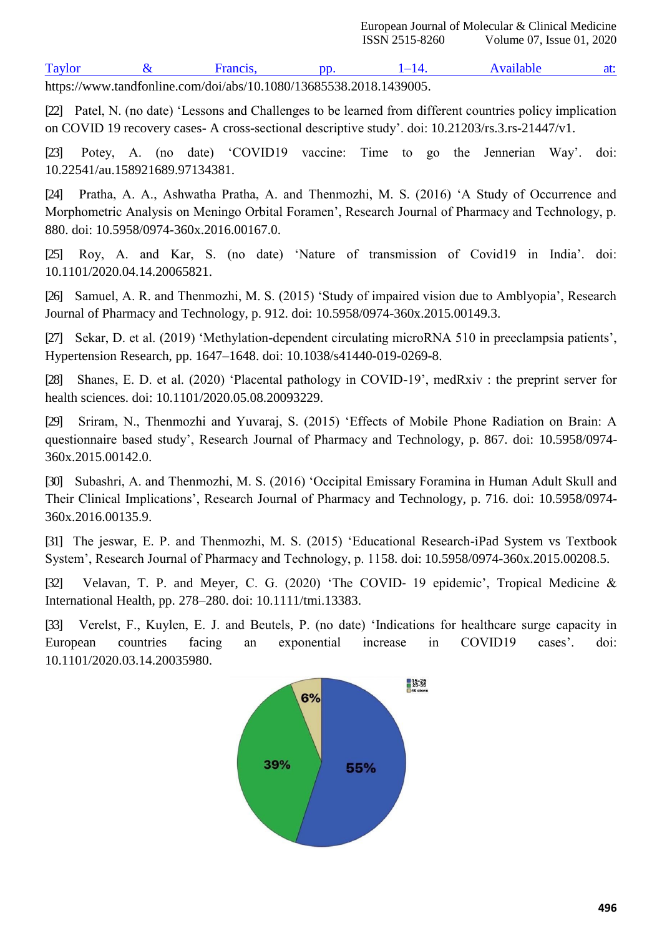Taylor & Francis, pp. 1–14. Available at: [https://www.tandfonline.com/doi/abs/10.1080/13685538.2018.1439005.](https://www.tandfonline.com/doi/abs/10.1080/13685538.2018.1439005)

[22] Patel, N. (no date) 'Lessons and Challenges to be learned from different countries policy implication on COVID 19 recovery cases- [A cross-sectional descriptive study". doi:](http://paperpile.com/b/TjCIG8/Dwl7) [10.21203/rs.3.rs-21447/v1](http://paperpile.com/b/TjCIG8/Dwl7)[.](http://dx.doi.org/10.21203/rs.3.rs-21447/v1)

[23] Potey, A. (no date) 'COVID19 vaccine: Time to go the Jennerian Way'. doi: [10.22541/au.158921689.97134381.](http://dx.doi.org/10.22541/au.158921689.97134381)

[24] Pratha, A. A., Ashwatha Pratha, A. and Thenmozhi, M. S. (2016) 'A Study of Occurrence and [Morphometric Analysis on Meningo Orbital Foramen", Research Journal of Pharmacy and Technology, p.](http://paperpile.com/b/TjCIG8/XGqP) [880. doi:](http://paperpile.com/b/TjCIG8/XGqP) [10.5958/0974-360x.2016.00167.0.](http://paperpile.com/b/TjCIG8/XGqP)

[25] Roy, A. and Kar, S. (no date) 'Nature of transmission of Covid19 in India'. doi: [10.1101/2020.04.14.20065821.](http://dx.doi.org/10.1101/2020.04.14.20065821)

[26] Samuel, A. R. and Thenmozhi, M. S. (2015) 'Study of impaired vision due to Amblyopia', Research [Journal of Pharmacy and Technology, p. 912. doi:](http://paperpile.com/b/TjCIG8/ZUki) [10.5958/0974-360x.2015.00149.3](http://paperpile.com/b/TjCIG8/ZUki)[.](http://dx.doi.org/10.5958/0974-360x.2015.00149.3)

[27] Sekar, D. et al. (2019) 'Methylation-dependent circulating microRNA 510 in preeclampsia patients', [Hypertension Research, pp. 1647–1648. doi:](http://paperpile.com/b/TjCIG8/Gc4k) [10.1038/s41440-019-0269-8.](http://paperpile.com/b/TjCIG8/Gc4k)

[28] Shanes, E. D. et al. (2020) 'Placental pathology in COVID-19', medRxiv : the preprint server for [health sciences. doi: 10.1101/2020.05.08.20093229](http://paperpile.com/b/TjCIG8/8uB4)[.](http://dx.doi.org/10.1101/2020.05.08.20093229)

[29] [Sriram, N., Thenmozhi and Yuvaraj, S. \(2015\) "Effects of Mobile Phone Radiation on Brain: A](http://paperpile.com/b/TjCIG8/pX11) [questionnaire based study", Research Journal of Pharmacy and Technology, p. 867. doi:](http://paperpile.com/b/TjCIG8/pX11) [10.5958/0974-](http://dx.doi.org/10.5958/0974-360x.2015.00142.0) [360x.2015.00142.0.](http://dx.doi.org/10.5958/0974-360x.2015.00142.0)

[30] [Subashri, A. and Thenmozhi, M. S. \(2016\) "Occipital Emissary Foramina in Human Adult Skull and](http://paperpile.com/b/TjCIG8/7XCH) [Their Clinical Implications", Research Journal of Pharmacy](http://paperpile.com/b/TjCIG8/7XCH) and Technology, p. 716. doi: [10.5958/0974-](http://paperpile.com/b/TjCIG8/7XCH) [360x.2016.00135.9](http://dx.doi.org/10.5958/0974-360x.2016.00135.9)[.](http://paperpile.com/b/TjCIG8/7XCH)

[31] [The jeswar, E. P. and Thenmozhi, M. S. \(2015\) "Educational Research-iPad System vs Textbook](http://paperpile.com/b/TjCIG8/6pAN) [System", Research Journal of Pharmacy and Technology, p. 1158. doi:](http://paperpile.com/b/TjCIG8/6pAN) [10.5958/0974-360x.2015.00208.5](http://paperpile.com/b/TjCIG8/6pAN)[.](http://dx.doi.org/10.5958/0974-360x.2015.00208.5)

[32] Velavan, T. P. and Meyer, C. G. (2020) 'The COVID- 19 epidemic', Tropical Medicine & [International Health, pp. 278–280. doi:](http://paperpile.com/b/TjCIG8/kL0e) [10.1111/tmi.13383](http://paperpile.com/b/TjCIG8/kL0e)[.](http://dx.doi.org/10.1111/tmi.13383)

[33] [Verelst, F., Kuylen, E. J. and Beutels, P. \(no date\) "Indications for healthcare surge capacity in](http://paperpile.com/b/TjCIG8/ptrz) European countries facing an exponential increase in COVID19 cases'. doi: [10.1101/2020.03.14.20035980.](http://dx.doi.org/10.1101/2020.03.14.20035980)

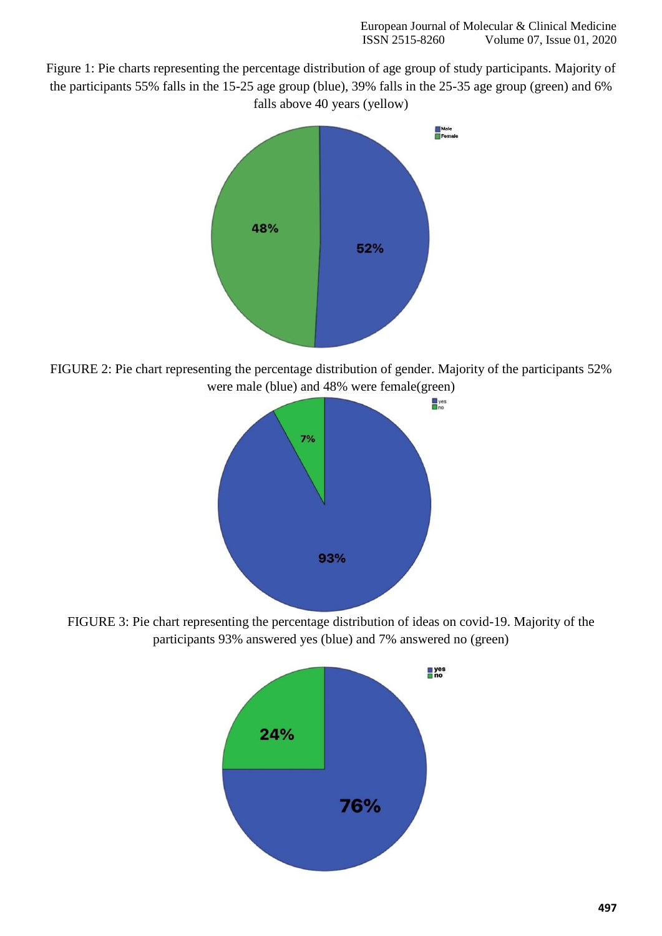Figure 1: Pie charts representing the percentage distribution of age group of study participants. Majority of the participants 55% falls in the 15-25 age group (blue), 39% falls in the 25-35 age group (green) and 6% falls above 40 years (yellow)



FIGURE 2: Pie chart representing the percentage distribution of gender. Majority of the participants 52% were male (blue) and 48% were female(green)



FIGURE 3: Pie chart representing the percentage distribution of ideas on covid-19. Majority of the participants 93% answered yes (blue) and 7% answered no (green)

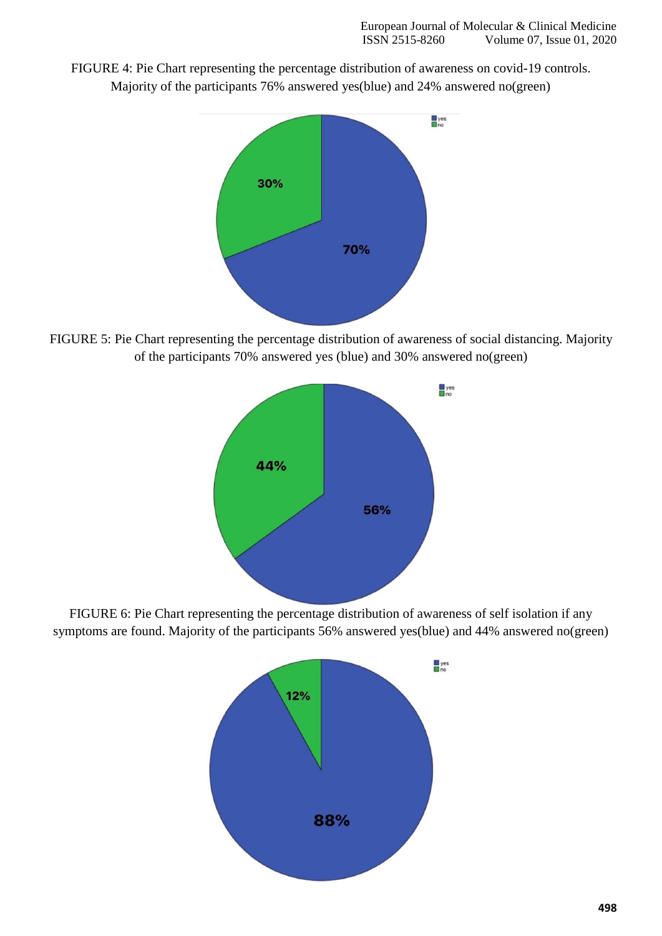FIGURE 4: Pie Chart representing the percentage distribution of awareness on covid-19 controls. Majority of the participants 76% answered yes(blue) and 24% answered no(green)



FIGURE 5: Pie Chart representing the percentage distribution of awareness of social distancing. Majority of the participants 70% answered yes (blue) and 30% answered no(green)



FIGURE 6: Pie Chart representing the percentage distribution of awareness of self isolation if any symptoms are found. Majority of the participants 56% answered yes(blue) and 44% answered no(green)

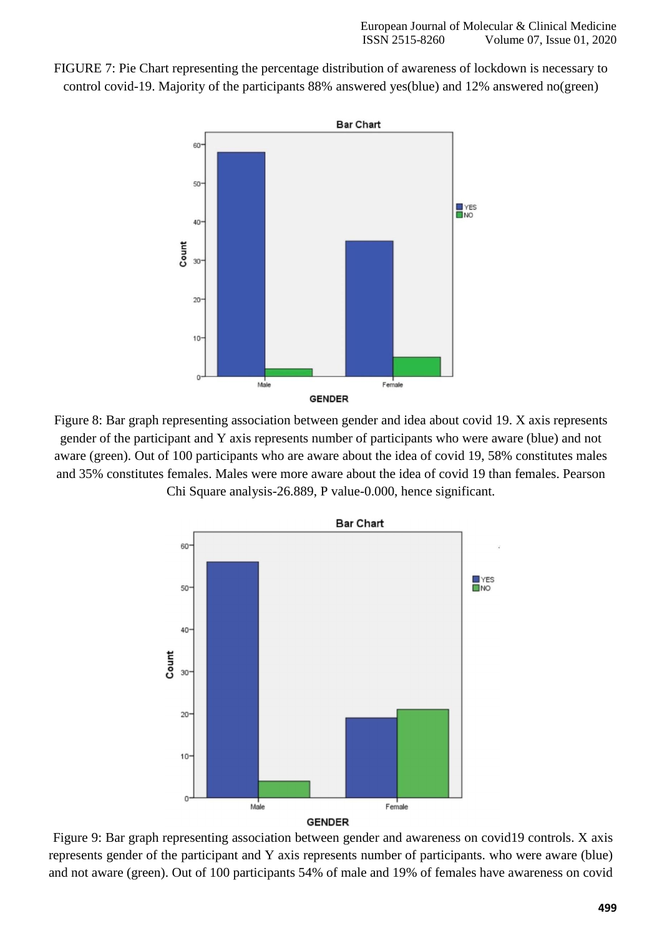FIGURE 7: Pie Chart representing the percentage distribution of awareness of lockdown is necessary to control covid-19. Majority of the participants 88% answered yes(blue) and 12% answered no(green)



Figure 8: Bar graph representing association between gender and idea about covid 19. X axis represents gender of the participant and Y axis represents number of participants who were aware (blue) and not aware (green). Out of 100 participants who are aware about the idea of covid 19, 58% constitutes males and 35% constitutes females. Males were more aware about the idea of covid 19 than females. Pearson Chi Square analysis-26.889, P value-0.000, hence significant.



Figure 9: Bar graph representing association between gender and awareness on covid19 controls. X axis represents gender of the participant and Y axis represents number of participants. who were aware (blue) and not aware (green). Out of 100 participants 54% of male and 19% of females have awareness on covid